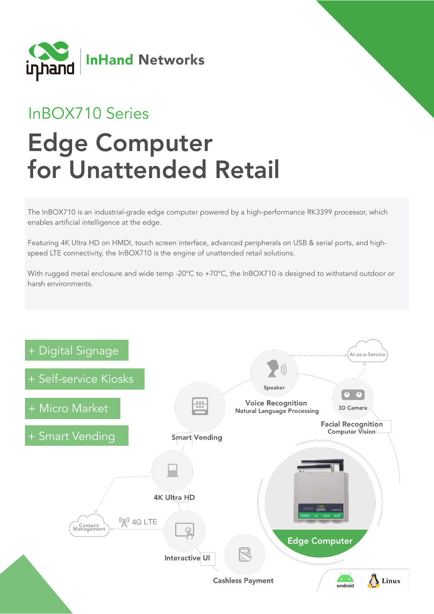

## InBOX710 Series

# Edge Computer for Unattended Retail

The InBOX710 is an industrial-grade edge computer powered by a high-performance RK3399 processor, which enables artificial intelligence at the edge.

Featuring 4K Ultra HD on HMDI, touch screen interface, advanced peripherals on USB & serial ports, and highspeed LTE connectivity, the InBOX710 is the engine of unattended retail solutions.

With rugged metal enclosure and wide temp -20°C to +70°C, the InBOX710 is designed to withstand outdoor or harsh environments.

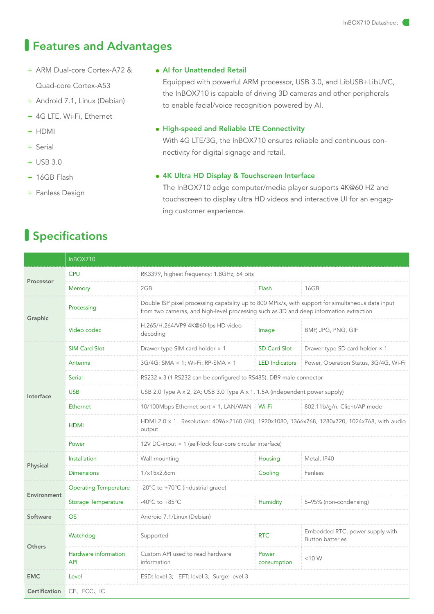### Features and Advantages

- + ARM Dual-core Cortex-A72 & Quad-core Cortex-A53
- + Android 7.1, Linux (Debian)
- + 4G LTE, Wi-Fi, Ethernet
- + HDMI
- + Serial
- + USB 3.0
- + 16GB Flash
- + Fanless Design

#### ● AI for Unattended Retail

Equipped with powerful ARM processor, USB 3.0, and LibUSB+LibUVC, the InBOX710 is capable of driving 3D cameras and other peripherals to enable facial/voice recognition powered by AI.

#### ● High-speed and Reliable LTE Connectivity

With 4G LTE/3G, the InBOX710 ensures reliable and continuous connectivity for digital signage and retail.

#### ● 4K Ultra HD Display & Touchscreen Interface

The InBOX710 edge computer/media player supports 4K@60 HZ and touchscreen to display ultra HD videos and interactive UI for an engaging customer experience.

## Specifications

|               | InBOX710                           |                                                                                                                                                                                             |                       |                                                            |  |  |  |  |
|---------------|------------------------------------|---------------------------------------------------------------------------------------------------------------------------------------------------------------------------------------------|-----------------------|------------------------------------------------------------|--|--|--|--|
| Processor     | <b>CPU</b>                         | RK3399, highest frequency: 1.8GHz; 64 bits                                                                                                                                                  |                       |                                                            |  |  |  |  |
|               | Memory                             | 2GB                                                                                                                                                                                         | Flash                 | 16GB                                                       |  |  |  |  |
| Graphic       | Processing                         | Double ISP pixel processing capability up to 800 MPix/s, with support for simultaneous data input<br>from two cameras, and high-level processing such as 3D and deep information extraction |                       |                                                            |  |  |  |  |
|               | Video codec                        | H.265/H.264/VP9 4K@60 fps HD video<br>decoding                                                                                                                                              | Image                 | BMP, JPG, PNG, GIF                                         |  |  |  |  |
| Interface     | <b>SIM Card Slot</b>               | Drawer-type SIM card holder × 1                                                                                                                                                             | <b>SD Card Slot</b>   | Drawer-type SD card holder × 1                             |  |  |  |  |
|               | Antenna                            | 3G/4G: SMA × 1; Wi-Fi: RP-SMA × 1                                                                                                                                                           | <b>LED</b> Indicators | Power, Operation Status, 3G/4G, Wi-Fi                      |  |  |  |  |
|               | Serial                             | RS232 x 3 (1 RS232 can be configured to RS485), DB9 male connector                                                                                                                          |                       |                                                            |  |  |  |  |
|               | <b>USB</b>                         | USB 2.0 Type A x 2, 2A; USB 3.0 Type A x 1, 1.5A (independent power supply)                                                                                                                 |                       |                                                            |  |  |  |  |
|               | Ethernet                           | 10/100Mbps Ethernet port × 1, LAN/WAN   Wi-Fi                                                                                                                                               |                       | 802.11b/g/n, Client/AP mode                                |  |  |  |  |
|               | <b>HDMI</b>                        | HDMI 2.0 x 1 Resolution: 4096×2160 (4K), 1920x1080, 1366x768, 1280x720, 1024x768, with audio<br>output                                                                                      |                       |                                                            |  |  |  |  |
|               | Power                              | 12V DC-input × 1 (self-lock four-core circular interface)                                                                                                                                   |                       |                                                            |  |  |  |  |
| Physical      | Installation                       | Wall-mounting                                                                                                                                                                               | Housing               | Metal, IP40                                                |  |  |  |  |
|               | <b>Dimensions</b>                  | 17x15x2.6cm                                                                                                                                                                                 | Cooling               | Fanless                                                    |  |  |  |  |
| Environment   | <b>Operating Temperature</b>       | -20°C to +70°C (industrial grade)                                                                                                                                                           |                       |                                                            |  |  |  |  |
|               | <b>Storage Temperature</b>         | -40 $^{\circ}$ C to +85 $^{\circ}$ C                                                                                                                                                        | <b>Humidity</b>       | 5-95% (non-condensing)                                     |  |  |  |  |
| Software      | <b>OS</b>                          | Android 7.1/Linux (Debian)                                                                                                                                                                  |                       |                                                            |  |  |  |  |
| <b>Others</b> | Watchdog                           | Supported                                                                                                                                                                                   | <b>RTC</b>            | Embedded RTC, power supply with<br><b>Button batteries</b> |  |  |  |  |
|               | Hardware information<br><b>API</b> | Custom API used to read hardware<br>information                                                                                                                                             | Power<br>consumption  | $<$ 10 W                                                   |  |  |  |  |
| <b>EMC</b>    | Level                              | ESD: level 3; EFT: level 3; Surge: level 3                                                                                                                                                  |                       |                                                            |  |  |  |  |
| Certification | CE、FCC、IC                          |                                                                                                                                                                                             |                       |                                                            |  |  |  |  |